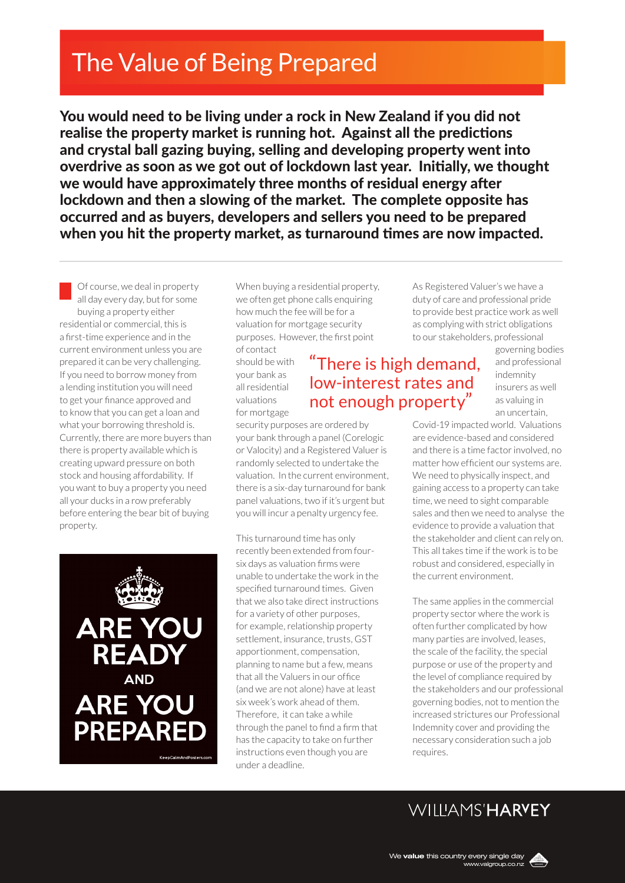# The Value of Being Prepared

You would need to be living under a rock in New Zealand if you did not realise the property market is running hot. Against all the predictions and crystal ball gazing buying, selling and developing property went into overdrive as soon as we got out of lockdown last year. Initially, we thought we would have approximately three months of residual energy after lockdown and then a slowing of the market. The complete opposite has occurred and as buyers, developers and sellers you need to be prepared when you hit the property market, as turnaround times are now impacted.

Of course, we deal in property all day every day, but for some buying a property either residential or commercial, this is a first-time experience and in the current environment unless you are prepared it can be very challenging. If you need to borrow money from a lending institution you will need to get your finance approved and to know that you can get a loan and what your borrowing threshold is. Currently, there are more buyers than there is property available which is creating upward pressure on both stock and housing affordability. If you want to buy a property you need all your ducks in a row preferably before entering the bear bit of buying property.



When buying a residential property, we often get phone calls enquiring how much the fee will be for a valuation for mortgage security purposes. However, the first point

of contact should be with your bank as all residential valuations for mortgage

### "There is high demand, low-interest rates and not enough property"

security purposes are ordered by your bank through a panel (Corelogic or Valocity) and a Registered Valuer is randomly selected to undertake the valuation. In the current environment, there is a six-day turnaround for bank panel valuations, two if it's urgent but you will incur a penalty urgency fee.

This turnaround time has only recently been extended from foursix days as valuation firms were unable to undertake the work in the specified turnaround times. Given that we also take direct instructions for a variety of other purposes, for example, relationship property settlement, insurance, trusts, GST apportionment, compensation, planning to name but a few, means that all the Valuers in our office (and we are not alone) have at least six week's work ahead of them. Therefore, it can take a while through the panel to find a firm that has the capacity to take on further instructions even though you are under a deadline.

As Registered Valuer's we have a duty of care and professional pride to provide best practice work as well as complying with strict obligations to our stakeholders, professional

> governing bodies and professional indemnity insurers as well as valuing in an uncertain,

Covid-19 impacted world. Valuations are evidence-based and considered and there is a time factor involved, no matter how efficient our systems are. We need to physically inspect, and gaining access to a property can take time, we need to sight comparable sales and then we need to analyse the evidence to provide a valuation that the stakeholder and client can rely on. This all takes time if the work is to be robust and considered, especially in the current environment.

The same applies in the commercial property sector where the work is often further complicated by how many parties are involved, leases, the scale of the facility, the special purpose or use of the property and the level of compliance required by the stakeholders and our professional governing bodies, not to mention the increased strictures our Professional Indemnity cover and providing the necessary consideration such a job requires.

## WIIIIAMS'HARVEY